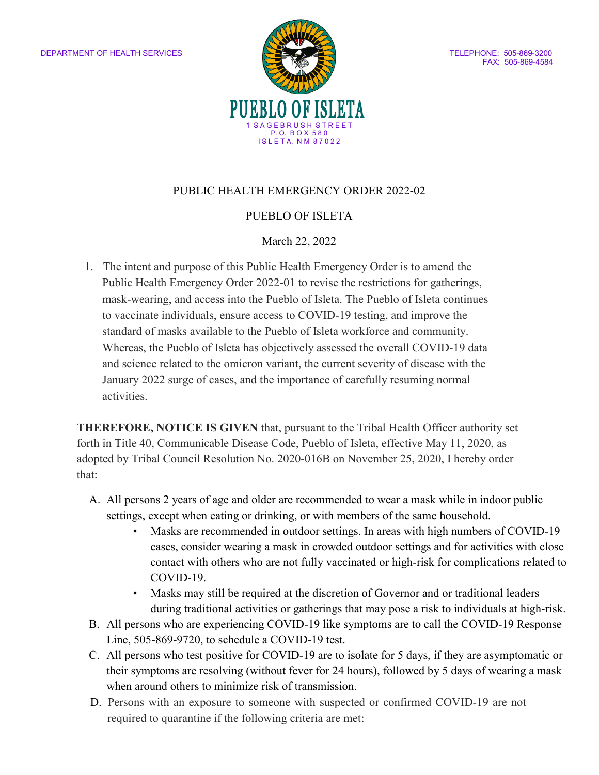

#### PUBLIC HEALTH EMERGENCY ORDER 2022-02

#### PUEBLO OF ISLETA

#### March 22, 2022

1. The intent and purpose of this Public Health Emergency Order is to amend the Public Health Emergency Order 2022-01 to revise the restrictions for gatherings, mask-wearing, and access into the Pueblo of Isleta. The Pueblo of Isleta continues to vaccinate individuals, ensure access to COVID-19 testing, and improve the standard of masks available to the Pueblo of Isleta workforce and community. Whereas, the Pueblo of Isleta has objectively assessed the overall COVID-19 data and science related to the omicron variant, the current severity of disease with the January 2022 surge of cases, and the importance of carefully resuming normal activities.

**THEREFORE, NOTICE IS GIVEN** that, pursuant to the Tribal Health Officer authority set forth in Title 40, Communicable Disease Code, Pueblo of Isleta, effective May 11, 2020, as adopted by Tribal Council Resolution No. 2020-016B on November 25, 2020, I hereby order that:

- A. All persons 2 years of age and older are recommended to wear a mask while in indoor public settings, except when eating or drinking, or with members of the same household.
	- Masks are recommended in outdoor settings. In areas with high numbers of COVID-19 cases, consider wearing a mask in crowded outdoor settings and for activities with close contact with others who are not fully vaccinated or high-risk for complications related to COVID-19.
	- Masks may still be required at the discretion of Governor and or traditional leaders during traditional activities or gatherings that may pose a risk to individuals at high-risk.
- B. All persons who are experiencing COVID-19 like symptoms are to call the COVID-19 Response Line, 505-869-9720, to schedule a COVID-19 test.
- C. All persons who test positive for COVID-19 are to isolate for 5 days, if they are asymptomatic or their symptoms are resolving (without fever for 24 hours), followed by 5 days of wearing a mask when around others to minimize risk of transmission.
- D. Persons with an exposure to someone with suspected or confirmed COVID-19 are not required to quarantine if the following criteria are met: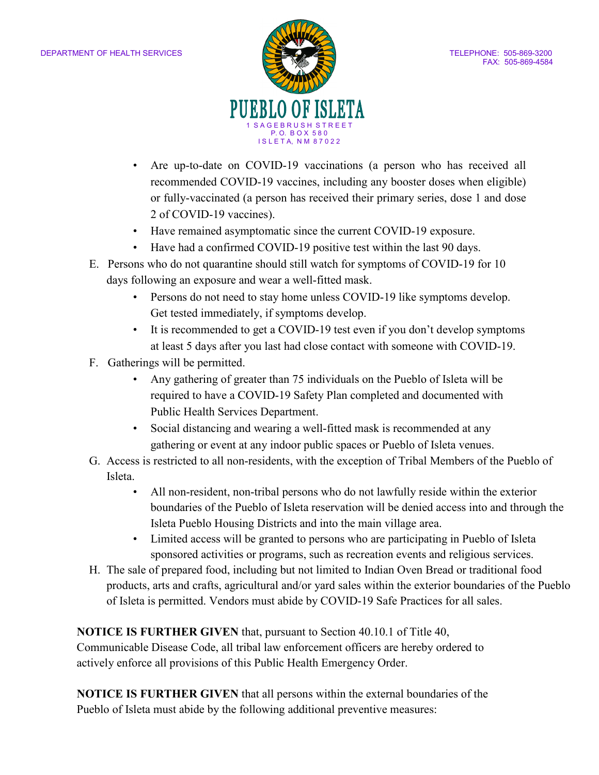

- Are up-to-date on COVID-19 vaccinations (a person who has received all recommended COVID-19 vaccines, including any booster doses when eligible) or fully-vaccinated (a person has received their primary series, dose 1 and dose 2 of COVID-19 vaccines).
- Have remained asymptomatic since the current COVID-19 exposure.
- Have had a confirmed COVID-19 positive test within the last 90 days.
- E. Persons who do not quarantine should still watch for symptoms of COVID-19 for 10 days following an exposure and wear a well-fitted mask.
	- Persons do not need to stay home unless COVID-19 like symptoms develop. Get tested immediately, if symptoms develop.
	- It is recommended to get a COVID-19 test even if you don't develop symptoms at least 5 days after you last had close contact with someone with COVID-19.
- F. Gatherings will be permitted.
	- Any gathering of greater than 75 individuals on the Pueblo of Isleta will be required to have a COVID-19 Safety Plan completed and documented with Public Health Services Department.
	- Social distancing and wearing a well-fitted mask is recommended at any gathering or event at any indoor public spaces or Pueblo of Isleta venues.
- G. Access is restricted to all non-residents, with the exception of Tribal Members of the Pueblo of Isleta.
	- All non-resident, non-tribal persons who do not lawfully reside within the exterior boundaries of the Pueblo of Isleta reservation will be denied access into and through the Isleta Pueblo Housing Districts and into the main village area.
	- Limited access will be granted to persons who are participating in Pueblo of Isleta sponsored activities or programs, such as recreation events and religious services.
- H. The sale of prepared food, including but not limited to Indian Oven Bread or traditional food products, arts and crafts, agricultural and/or yard sales within the exterior boundaries of the Pueblo of Isleta is permitted. Vendors must abide by COVID-19 Safe Practices for all sales.

## **NOTICE IS FURTHER GIVEN** that, pursuant to Section 40.10.1 of Title 40,

Communicable Disease Code, all tribal law enforcement officers are hereby ordered to actively enforce all provisions of this Public Health Emergency Order.

**NOTICE IS FURTHER GIVEN** that all persons within the external boundaries of the Pueblo of Isleta must abide by the following additional preventive measures: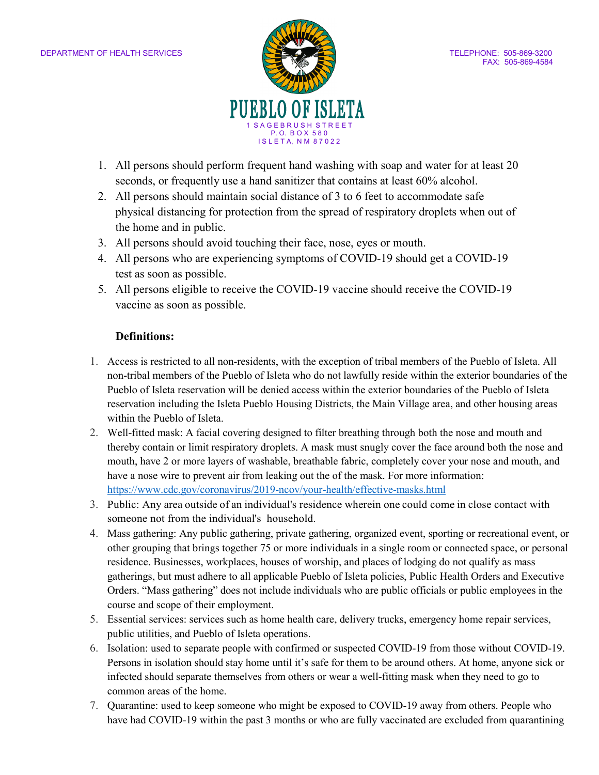

- 1. All persons should perform frequent hand washing with soap and water for at least 20 seconds, or frequently use a hand sanitizer that contains at least 60% alcohol.
- 2. All persons should maintain social distance of 3 to 6 feet to accommodate safe physical distancing for protection from the spread of respiratory droplets when out of the home and in public.
- 3. All persons should avoid touching their face, nose, eyes or mouth.
- 4. All persons who are experiencing symptoms of COVID-19 should get a COVID-19 test as soon as possible.
- 5. All persons eligible to receive the COVID-19 vaccine should receive the COVID-19 vaccine as soon as possible.

## **Definitions:**

- 1. Access is restricted to all non-residents, with the exception of tribal members of the Pueblo of Isleta. All non-tribal members of the Pueblo of Isleta who do not lawfully reside within the exterior boundaries of the Pueblo of Isleta reservation will be denied access within the exterior boundaries of the Pueblo of Isleta reservation including the Isleta Pueblo Housing Districts, the Main Village area, and other housing areas within the Pueblo of Isleta.
- 2. Well-fitted mask: A facial covering designed to filter breathing through both the nose and mouth and thereby contain or limit respiratory droplets. A mask must snugly cover the face around both the nose and mouth, have 2 or more layers of washable, breathable fabric, completely cover your nose and mouth, and have a nose wire to prevent air from leaking out the of the mask. For more information: <https://www.cdc.gov/coronavirus/2019-ncov/your-health/effective-masks.html>
- 3. Public: Any area outside of an individual's residence wherein one could come in close contact with someone not from the individual's household.
- 4. Mass gathering: Any public gathering, private gathering, organized event, sporting or recreational event, or other grouping that brings together 75 or more individuals in a single room or connected space, or personal residence. Businesses, workplaces, houses of worship, and places of lodging do not qualify as mass gatherings, but must adhere to all applicable Pueblo of Isleta policies, Public Health Orders and Executive Orders. "Mass gathering" does not include individuals who are public officials or public employees in the course and scope of their employment.
- 5. Essential services: services such as home health care, delivery trucks, emergency home repair services, public utilities, and Pueblo of Isleta operations.
- 6. Isolation: used to separate people with confirmed or suspected COVID-19 from those without COVID-19. Persons in isolation should stay home until it's safe for them to be around others. At home, anyone sick or infected should separate themselves from others or wear a well-fitting mask when they need to go to common areas of the home.
- 7. Quarantine: used to keep someone who might be exposed to COVID-19 away from others. People who have had COVID-19 within the past 3 months or who are fully vaccinated are excluded from quarantining